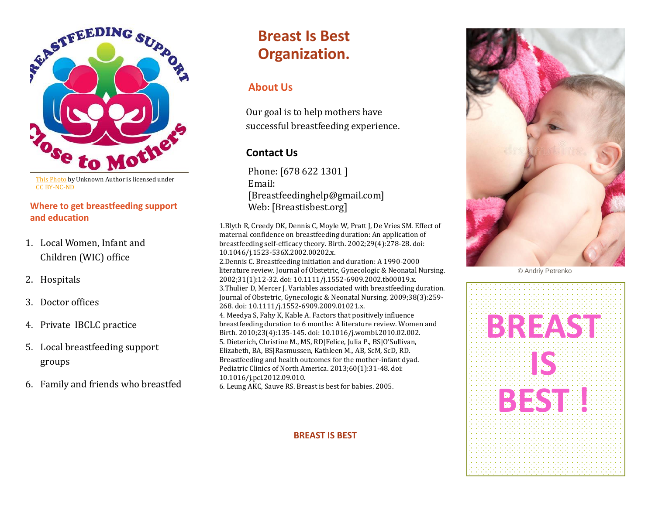

[This Photo](http://drewstarr.wordpress.com/category/breastfeeding/) by Unknown Author is licensed under [CC BY-NC-ND](https://creativecommons.org/licenses/by-nc-nd/3.0/)

#### **Where to get breastfeeding support and education**

- 1. Local Women, Infant and Children (WIC) office
- 2. Hospitals
- 3. Doctor offices
- 4. Private IBCLC practice
- 5. Local breastfeeding support groups
- 6. Family and friends who breastfed

# **Breast Is Best Organization.**

## **About Us**

Our goal is to help mothers have successful breastfeeding experience.

## **Contact Us**

Phone: [678 622 1301 ] Email: [Breastfeedinghelp@gmail.com] Web: [Breastisbest.org]

1.Blyth R, Creedy DK, Dennis C, Moyle W, Pratt J, De Vries SM. Effect of maternal confidence on breastfeeding duration: An application of breastfeeding self-efficacy theory. Birth. 2002;29(4):278-28. doi: 10.1046/j.1523-536X.2002.00202.x. 2.Dennis C. Breastfeeding initiation and duration: A 1990-2000 literature review. Journal of Obstetric, Gynecologic & Neonatal Nursing. 2002;31(1):12-32. doi: 10.1111/j.1552-6909.2002.tb00019.x. 3.Thulier D, Mercer J. Variables associated with breastfeeding duration. Journal of Obstetric, Gynecologic & Neonatal Nursing. 2009;38(3):259- 268. doi: 10.1111/j.1552-6909.2009.01021.x. 4. Meedya S, Fahy K, Kable A. Factors that positively influence breastfeeding duration to 6 months: A literature review. Women and Birth. 2010;23(4):135-145. doi: 10.1016/j.wombi.2010.02.002. 5. Dieterich, Christine M., MS, RD|Felice, Julia P., BS|O'Sullivan, Elizabeth, BA, BS|Rasmussen, Kathleen M., AB, ScM, ScD, RD.

Breastfeeding and health outcomes for the mother-infant dyad. Pediatric Clinics of North America. 2013;60(1):31-48. doi: 10.1016/j.pcl.2012.09.010. 6. Leung AKC, Sauve RS. Breast is best for babies. 2005.

**BREAST IS BEST**



© Andriy Petrenko